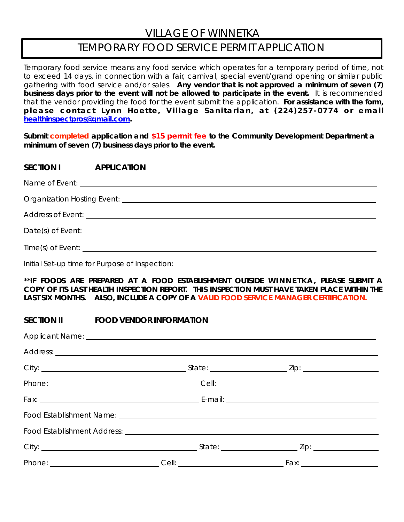## VILLAGE OF WINNETKA

# TEMPORARY FOOD SERVICE PERMIT APPLICATION

Temporary food service means any food service which operates for a temporary period of time, not to exceed 14 days, in connection with a fair, carnival, special event/grand opening or similar public gathering with food service and/or sales. **Any vendor that is not approved a minimum of seven (7) business days prior to the event will not be allowed to participate in the event.** It is recommended that the vendor providing the food for the event submit the application. **For assistance with the form, please contact Lynn Hoette, Village Sanitarian, at (224)257-0774 or email [healthinspectpros@gmail.com.](mailto:healthinspectpros@gmail.com)**

**Submit completed application and \$15 permit fee to the Community Development Department a minimum of seven (7) business days prior to the event.**

| SECTION I APPLICATION                                                            |  |  |  |  |
|----------------------------------------------------------------------------------|--|--|--|--|
|                                                                                  |  |  |  |  |
|                                                                                  |  |  |  |  |
|                                                                                  |  |  |  |  |
|                                                                                  |  |  |  |  |
|                                                                                  |  |  |  |  |
| Initial Set-up time for Purpose of Inspection: _________________________________ |  |  |  |  |

**\*\*IF FOODS ARE PREPARED AT A FOOD ESTABLISHMENT OUTSIDE WINNETKA, PLEASE SUBMIT A COPY OF ITS LAST HEALTH INSPECTION REPORT. THIS INSPECTION MUST HAVE TAKEN PLACE WITHIN THE LAST SIX MONTHS. ALSO, INCLUDE A COPY OF A VALID FOOD SERVICE MANAGER CERTIFICATION.**

#### **SECTION II FOOD VENDOR INFORMATION**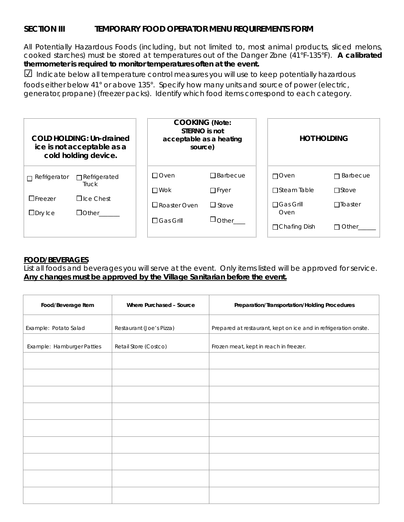### **SECTION III TEMPORARY FOOD OPERATOR MENU REQUIREMENTS FORM**

All Potentially Hazardous Foods (including, but not limited to, most animal products, sliced melons, cooked starches) must be stored at temperatures out of the Danger Zone (41°F-135°F). **A calibrated thermometer is required to monitor temperatures often at the event.**

☑ Indicate below all temperature control measures you will use to keep potentially hazardous

 foods either below 41° or above 135°. Specify how many units and source of power (electric, generator, propane) (freezer packs). Identify which food items correspond to each category.

| <b>COLD HOLDING: Un-drained</b><br>ice is not acceptable as a<br>cold holding device. |                                                                                | <b>COOKING (Note:</b><br>STERNO is not<br>acceptable as a heating<br>source) |                    | <b>HOT HOLDING</b>       |                      |
|---------------------------------------------------------------------------------------|--------------------------------------------------------------------------------|------------------------------------------------------------------------------|--------------------|--------------------------|----------------------|
| $\Box$ Refrigerator                                                                   | $\Box$ Refrigerated<br>Truck<br>$\Box$ Ice Chest<br>$\Box$ Other $\_\_\_\_\_\$ | $\Box$ Oven                                                                  | $\Box$ Barbecue    | $\Box$ Oven              | <b>Barbecue</b><br>П |
|                                                                                       |                                                                                | $\Box$ Wok                                                                   | $\Box$ Fryer       | $\Box$ Steam Table       | $\Box$ Stove         |
| $\Box$ Freezer<br>$\square$ Dry Ice                                                   |                                                                                | $\square$ Roaster Oven                                                       | $\Box$ Stove       | $\Box$ Gas Grill<br>Oven | $\Box$ Toaster       |
|                                                                                       |                                                                                | $\Box$ Gas Grill                                                             | $\Box$ Other______ | $\Box$ Chafing Dish      | l Other<br>П         |

#### **FOOD/BEVERAGES**

List all foods and beverages you will serve at the event. Only items listed will be approved for service. **Any changes must be approved by the Village Sanitarian before the event.**

| Food/Beverage Item         | Where Purchased - Source | Preparation/Transportation/Holding Procedures                    |
|----------------------------|--------------------------|------------------------------------------------------------------|
| Example: Potato Salad      | Restaurant (Joe's Pizza) | Prepared at restaurant, kept on ice and in refrigeration onsite. |
| Example: Hamburger Patties | Retail Store (Costco)    | Frozen meat, kept in reach in freezer.                           |
|                            |                          |                                                                  |
|                            |                          |                                                                  |
|                            |                          |                                                                  |
|                            |                          |                                                                  |
|                            |                          |                                                                  |
|                            |                          |                                                                  |
|                            |                          |                                                                  |
|                            |                          |                                                                  |
|                            |                          |                                                                  |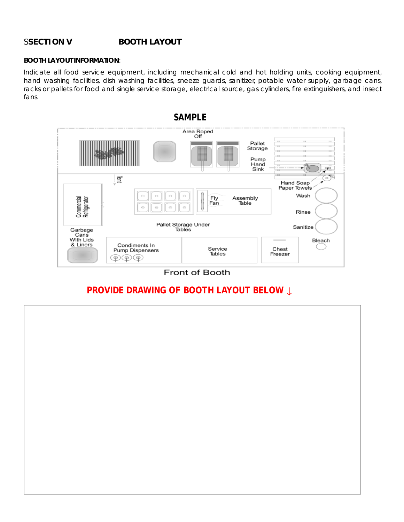#### S**SECTION V BOOTH LAYOUT**

#### **BOOTH LAYOUT INFORMATION**:

Indicate all food service equipment, including mechanical cold and hot holding units, cooking equipment, hand washing facilities, dish washing facilities, sneeze guards, sanitizer, potable water supply, garbage cans, racks or pallets for food and single service storage, electrical source, gas cylinders, fire extinguishers, and insect fans.



#### Front of Booth

## **PROVIDE DRAWING OF BOOTH LAYOUT BELOW ↓**